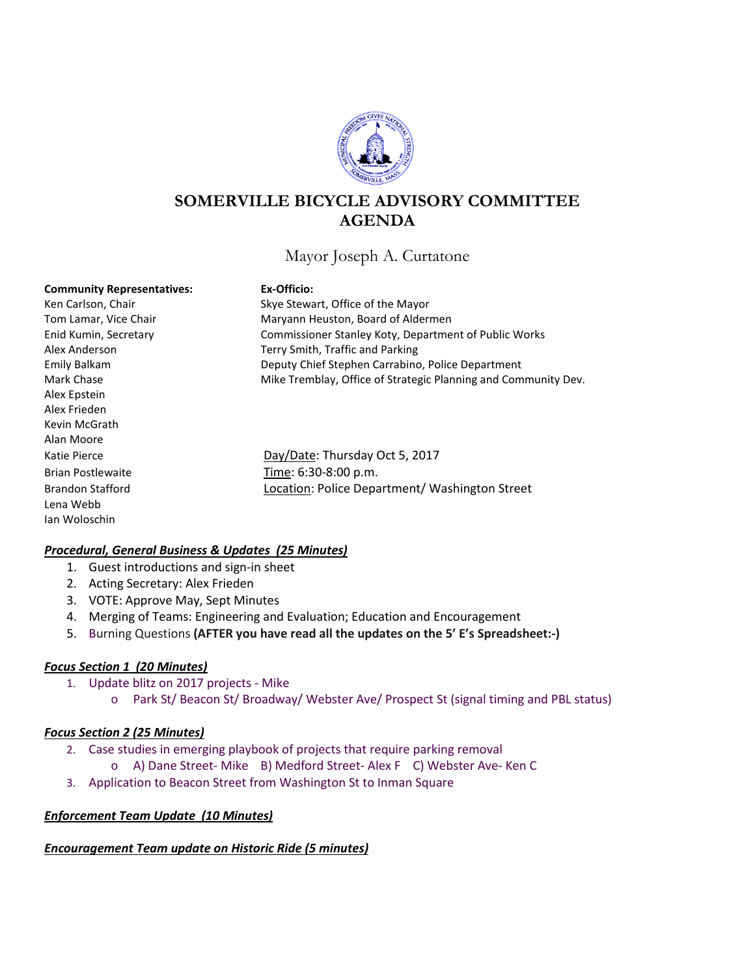

# **SOMERVILLE BICYCLE ADVISORY COMMITTEE AGENDA**

## Mayor Joseph A. Curtatone

#### **Community Representatives: Ex-Officio:**

Alex Epstein Alex Frieden Kevin McGrath Alan Moore Lena Webb Ian Woloschin

Ken Carlson, Chair Skye Stewart, Office of the Mayor Tom Lamar, Vice Chair **Maryann Heuston, Board of Aldermen** Enid Kumin, Secretary Commissioner Stanley Koty, Department of Public Works Alex Anderson Terry Smith, Traffic and Parking Emily Balkam Deputy Chief Stephen Carrabino, Police Department Mark Chase **Mike Tremblay, Office of Strategic Planning and Community Dev.** 

Katie Pierce **Day/Date: Thursday Oct 5, 2017** Brian Postlewaite Time: 6:30-8:00 p.m. Brandon Stafford **Location: Police Department/ Washington Street** 

## *Procedural, General Business & Updates (25 Minutes)*

- 1. Guest introductions and sign-in sheet
- 2. Acting Secretary: Alex Frieden
- 3. VOTE: Approve May, Sept Minutes
- 4. Merging of Teams: Engineering and Evaluation; Education and Encouragement
- 5. Burning Questions **(AFTER you have read all the updates on the 5' E's Spreadsheet:-)**

## *Focus Section 1 (20 Minutes)*

- 1. Update blitz on 2017 projects Mike
	- o Park St/ Beacon St/ Broadway/ Webster Ave/ Prospect St (signal timing and PBL status)

### *Focus Section 2 (25 Minutes)*

- 2. Case studies in emerging playbook of projects that require parking removal
	- o A) Dane Street- Mike B) Medford Street- Alex F C) Webster Ave- Ken C
- 3. Application to Beacon Street from Washington St to Inman Square

### *Enforcement Team Update (10 Minutes)*

### *Encouragement Team update on Historic Ride (5 minutes)*